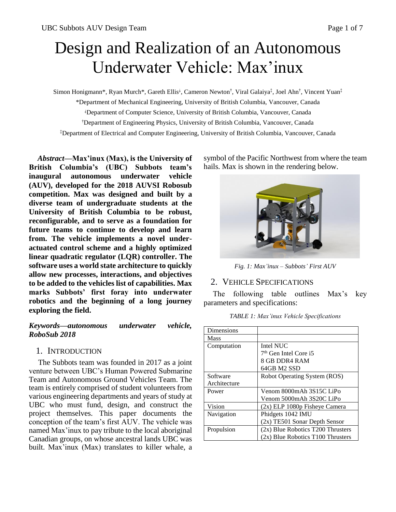# Design and Realization of an Autonomous Underwater Vehicle: Max'inux

Simon Honigmann\*, Ryan Murch\*, Gareth Ellis<sup>⊥</sup>, Cameron Newton<sup>†</sup>, Viral Galaiya<sup>‡</sup>, Joel Ahn<sup>†</sup>, Vincent Yuan<sup>‡</sup>

\*Department of Mechanical Engineering, University of British Columbia, Vancouver, Canada

⸸Department of Computer Science, University of British Columbia, Vancouver, Canada

†Department of Engineering Physics, University of British Columbia, Vancouver, Canada

‡Department of Electrical and Computer Engineering, University of British Columbia, Vancouver, Canada

*Abstract***—Max'inux (Max), is the University of British Columbia's (UBC) Subbots team's inaugural autonomous underwater vehicle (AUV), developed for the 2018 AUVSI Robosub competition. Max was designed and built by a diverse team of undergraduate students at the University of British Columbia to be robust, reconfigurable, and to serve as a foundation for future teams to continue to develop and learn from. The vehicle implements a novel underactuated control scheme and a highly optimized linear quadratic regulator (LQR) controller. The software uses a world state architecture to quickly allow new processes, interactions, and objectives to be added to the vehicles list of capabilities. Max marks Subbots' first foray into underwater robotics and the beginning of a long journey exploring the field.**

### *Keywords—autonomous underwater vehicle, RoboSub 2018*

## 1. INTRODUCTION

The Subbots team was founded in 2017 as a joint venture between UBC's Human Powered Submarine Team and Autonomous Ground Vehicles Team. The team is entirely comprised of student volunteers from various engineering departments and years of study at UBC who must fund, design, and construct the project themselves. This paper documents the conception of the team's first AUV. The vehicle was named Max'inux to pay tribute to the local aboriginal Canadian groups, on whose ancestral lands UBC was built. Max'inux (Max) translates to killer whale, a symbol of the Pacific Northwest from where the team hails. Max is shown in the rendering below.



*Fig. 1: Max'inux – Subbots' First AUV*

#### 2. VEHICLE SPECIFICATIONS

The following table outlines Max's key parameters and specifications:

| Dimensions   |                                     |  |
|--------------|-------------------------------------|--|
| Mass         |                                     |  |
| Computation  | Intel NUC                           |  |
|              | $7th$ Gen Intel Core i5             |  |
|              | 8 GB DDR4 RAM                       |  |
|              | 64GB M2 SSD                         |  |
| Software     | Robot Operating System (ROS)        |  |
| Architecture |                                     |  |
| Power        | Venom 8000mAh 3S15C LiPo            |  |
|              | Venom 5000mAh 3S20C LiPo            |  |
| Vision       | (2x) ELP 1080p Fisheye Camera       |  |
| Navigation   | Phidgets 1042 IMU                   |  |
|              | (2x) TE501 Sonar Depth Sensor       |  |
| Propulsion   | $(2x)$ Blue Robotics T200 Thrusters |  |
|              | (2x) Blue Robotics T100 Thrusters   |  |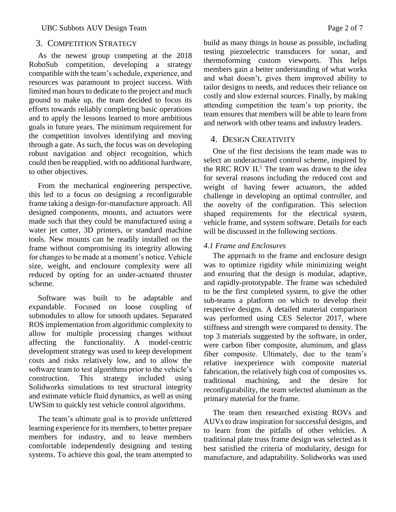# 3. COMPETITION STRATEGY

As the newest group competing at the 2018 RoboSub competition, developing a strategy compatible with the team's schedule, experience, and resources was paramount to project success. With limited man hours to dedicate to the project and much ground to make up, the team decided to focus its efforts towards reliably completing basic operations and to apply the lessons learned to more ambitious goals in future years. The minimum requirement for the competition involves identifying and moving through a gate. As such, the focus was on developing robust navigation and object recognition, which could then be reapplied, with no additional hardware, to other objectives.

From the mechanical engineering perspective, this led to a focus on designing a reconfigurable frame taking a design-for-manufacture approach. All designed components, mounts, and actuators were made such that they could be manufactured using a water jet cutter, 3D printers, or standard machine tools. New mounts can be readily installed on the frame without compromising its integrity allowing for changes to be made at a moment's notice. Vehicle size, weight, and enclosure complexity were all reduced by opting for an under-actuated thruster scheme.

Software was built to be adaptable and expandable. Focused on loose coupling of submodules to allow for smooth updates. Separated ROS implementation from algorithmic complexity to allow for multiple processing changes without affecting the functionality. A model-centric development strategy was used to keep development costs and risks relatively low, and to allow the software team to test algorithms prior to the vehicle's construction. This strategy included using Solidworks simulations to test structural integrity and estimate vehicle fluid dynamics, as well as using UWSim to quickly test vehicle control algorithms.

The team's ultimate goal is to provide unfettered learning experience for its members, to better prepare members for industry, and to leave members comfortable independently designing and testing systems. To achieve this goal, the team attempted to build as many things in house as possible, including testing piezoelectric transducers for sonar, and thermoforming custom viewports. This helps members gain a better understanding of what works and what doesn't, gives them improved ability to tailor designs to needs, and reduces their reliance on costly and slow external sources. Finally, by making attending competition the team's top priority, the team ensures that members will be able to learn from and network with other teams and industry leaders.

# 4. DESIGN CREATIVITY

One of the first decisions the team made was to select an underactuated control scheme, inspired by the RRC ROV  $II$ <sup>1</sup>. The team was drawn to the idea for several reasons including the reduced cost and weight of having fewer actuators, the added challenge in developing an optimal controller, and the novelty of the configuration. This selection shaped requirements for the electrical system, vehicle frame, and system software. Details for each will be discussed in the following sections.

# *4.1 Frame and Enclosures*

The approach to the frame and enclosure design was to optimize rigidity while minimizing weight and ensuring that the design is modular, adaptive, and rapidly-prototypable. The frame was scheduled to be the first completed system, to give the other sub-teams a platform on which to develop their respective designs. A detailed material comparison was performed using CES Selector 2017, where stiffness and strength were compared to density. The top 3 materials suggested by the software, in order, were carbon fiber composite, aluminum, and glass fiber composite. Ultimately, due to the team's relative inexperience with composite material fabrication, the relatively high cost of composites vs. traditional machining, and the desire for reconfigurability, the team selected aluminum as the primary material for the frame.

The team then researched existing ROVs and AUVs to draw inspiration for successful designs, and to learn from the pitfalls of other vehicles. A traditional plate truss frame design was selected as it best satisfied the criteria of modularity, design for manufacture, and adaptability. Solidworks was used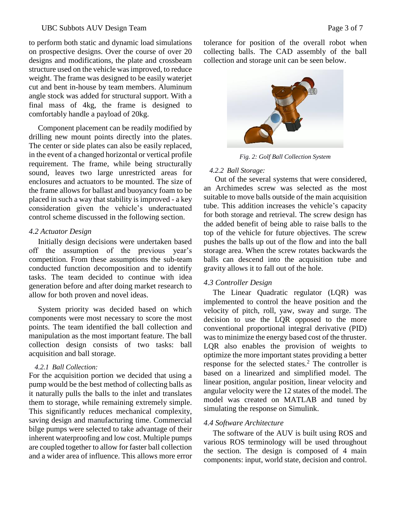to perform both static and dynamic load simulations on prospective designs. Over the course of over 20 designs and modifications, the plate and crossbeam structure used on the vehicle was improved, to reduce weight. The frame was designed to be easily waterjet cut and bent in-house by team members. Aluminum angle stock was added for structural support. With a final mass of 4kg, the frame is designed to comfortably handle a payload of 20kg.

Component placement can be readily modified by drilling new mount points directly into the plates. The center or side plates can also be easily replaced, in the event of a changed horizontal or vertical profile requirement. The frame, while being structurally sound, leaves two large unrestricted areas for enclosures and actuators to be mounted. The size of the frame allows for ballast and buoyancy foam to be placed in such a way that stability is improved - a key consideration given the vehicle's underactuated control scheme discussed in the following section.

#### *4.2 Actuator Design*

Initially design decisions were undertaken based off the assumption of the previous year's competition. From these assumptions the sub-team conducted function decomposition and to identify tasks. The team decided to continue with idea generation before and after doing market research to allow for both proven and novel ideas.

System priority was decided based on which components were most necessary to score the most points. The team identified the ball collection and manipulation as the most important feature. The ball collection design consists of two tasks: ball acquisition and ball storage.

#### *4.2.1 Ball Collection:*

For the acquisition portion we decided that using a pump would be the best method of collecting balls as it naturally pulls the balls to the inlet and translates them to storage, while remaining extremely simple. This significantly reduces mechanical complexity, saving design and manufacturing time. Commercial bilge pumps were selected to take advantage of their inherent waterproofing and low cost. Multiple pumps are coupled together to allow for faster ball collection and a wider area of influence. This allows more error tolerance for position of the overall robot when collecting balls. The CAD assembly of the ball collection and storage unit can be seen below.



*Fig. 2: Golf Ball Collection System*

## *4.2.2 Ball Storage:*

Out of the several systems that were considered, an Archimedes screw was selected as the most suitable to move balls outside of the main acquisition tube. This addition increases the vehicle's capacity for both storage and retrieval. The screw design has the added benefit of being able to raise balls to the top of the vehicle for future objectives. The screw pushes the balls up out of the flow and into the ball storage area. When the screw rotates backwards the balls can descend into the acquisition tube and gravity allows it to fall out of the hole.

## *4.3 Controller Design*

The Linear Quadratic regulator (LQR) was implemented to control the heave position and the velocity of pitch, roll, yaw, sway and surge. The decision to use the LQR opposed to the more conventional proportional integral derivative (PID) was to minimize the energy based cost of the thruster. LQR also enables the provision of weights to optimize the more important states providing a better response for the selected states.<sup>2</sup> The controller is based on a linearized and simplified model. The linear position, angular position, linear velocity and angular velocity were the 12 states of the model. The model was created on MATLAB and tuned by simulating the response on Simulink.

## *4.4 Software Architecture*

The software of the AUV is built using ROS and various ROS terminology will be used throughout the section. The design is composed of 4 main components: input, world state, decision and control.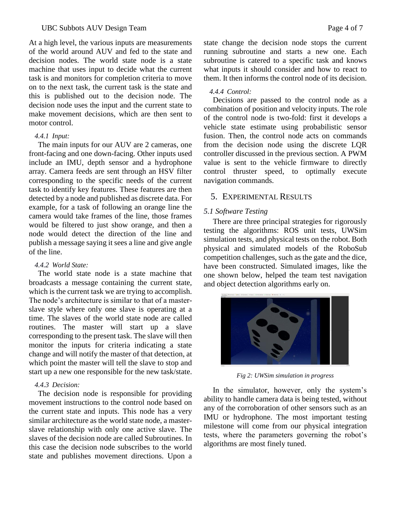At a high level, the various inputs are measurements of the world around AUV and fed to the state and decision nodes. The world state node is a state machine that uses input to decide what the current task is and monitors for completion criteria to move on to the next task, the current task is the state and this is published out to the decision node. The decision node uses the input and the current state to make movement decisions, which are then sent to motor control.

#### *4.4.1 Input:*

The main inputs for our AUV are 2 cameras, one front-facing and one down-facing. Other inputs used include an IMU, depth sensor and a hydrophone array. Camera feeds are sent through an HSV filter corresponding to the specific needs of the current task to identify key features. These features are then detected by a node and published as discrete data. For example, for a task of following an orange line the camera would take frames of the line, those frames would be filtered to just show orange, and then a node would detect the direction of the line and publish a message saying it sees a line and give angle of the line.

## *4.4.2 World State:*

The world state node is a state machine that broadcasts a message containing the current state, which is the current task we are trying to accomplish. The node's architecture is similar to that of a masterslave style where only one slave is operating at a time. The slaves of the world state node are called routines. The master will start up a slave corresponding to the present task. The slave will then monitor the inputs for criteria indicating a state change and will notify the master of that detection, at which point the master will tell the slave to stop and start up a new one responsible for the new task/state.

## *4.4.3 Decision:*

The decision node is responsible for providing movement instructions to the control node based on the current state and inputs. This node has a very similar architecture as the world state node, a masterslave relationship with only one active slave. The slaves of the decision node are called Subroutines. In this case the decision node subscribes to the world state and publishes movement directions. Upon a

state change the decision node stops the current running subroutine and starts a new one. Each subroutine is catered to a specific task and knows what inputs it should consider and how to react to them. It then informs the control node of its decision.

## *4.4.4 Control:*

Decisions are passed to the control node as a combination of position and velocity inputs. The role of the control node is two-fold: first it develops a vehicle state estimate using probabilistic sensor fusion. Then, the control node acts on commands from the decision node using the discrete LQR controller discussed in the previous section. A PWM value is sent to the vehicle firmware to directly control thruster speed, to optimally execute navigation commands.

# 5. EXPERIMENTAL RESULTS

# *5.1 Software Testing*

There are three principal strategies for rigorously testing the algorithms: ROS unit tests, UWSim simulation tests, and physical tests on the robot. Both physical and simulated models of the RoboSub competition challenges, such as the gate and the dice, have been constructed. Simulated images, like the one shown below, helped the team test navigation and object detection algorithms early on.



*Fig 2: UWSim simulation in progress*

In the simulator, however, only the system's ability to handle camera data is being tested, without any of the corroboration of other sensors such as an IMU or hydrophone. The most important testing milestone will come from our physical integration tests, where the parameters governing the robot's algorithms are most finely tuned.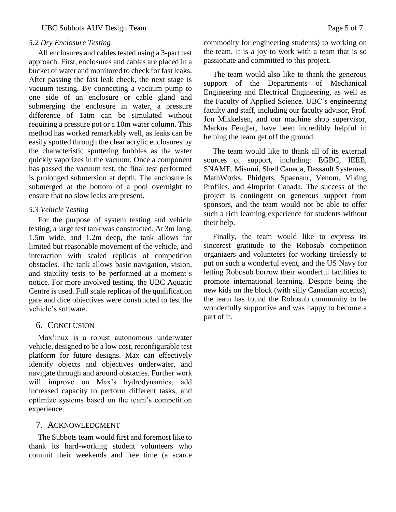#### *5.2 Dry Enclosure Testing*

All enclosures and cables tested using a 3-part test approach. First, enclosures and cables are placed in a bucket of water and monitored to check for fast leaks. After passing the fast leak check, the next stage is vacuum testing. By connecting a vacuum pump to one side of an enclosure or cable gland and submerging the enclosure in water, a pressure difference of 1atm can be simulated without requiring a pressure pot or a 10m water column. This method has worked remarkably well, as leaks can be easily spotted through the clear acrylic enclosures by the characteristic sputtering bubbles as the water quickly vaporizes in the vacuum. Once a component has passed the vacuum test, the final test performed is prolonged submersion at depth. The enclosure is submerged at the bottom of a pool overnight to ensure that no slow leaks are present.

#### *5.3 Vehicle Testing*

For the purpose of system testing and vehicle testing, a large test tank was constructed. At 3m long, 1.5m wide, and 1.2m deep, the tank allows for limited but reasonable movement of the vehicle, and interaction with scaled replicas of competition obstacles. The tank allows basic navigation, vision, and stability tests to be performed at a moment's notice. For more involved testing, the UBC Aquatic Centre is used. Full scale replicas of the qualification gate and dice objectives were constructed to test the vehicle's software.

#### 6. CONCLUSION

Max'inux is a robust autonomous underwater vehicle, designed to be a low cost, reconfigurable test platform for future designs. Max can effectively identify objects and objectives underwater, and navigate through and around obstacles. Further work will improve on Max's hydrodynamics, add increased capacity to perform different tasks, and optimize systems based on the team's competition experience.

#### 7. ACKNOWLEDGMENT

The Subbots team would first and foremost like to thank its hard-working student volunteers who commit their weekends and free time (a scarce

commodity for engineering students) to working on the team. It is a joy to work with a team that is so passionate and committed to this project.

The team would also like to thank the generous support of the Departments of Mechanical Engineering and Electrical Engineering, as well as the Faculty of Applied Science. UBC's engineering faculty and staff, including our faculty advisor, Prof. Jon Mikkelsen, and our machine shop supervisor, Markus Fengler, have been incredibly helpful in helping the team get off the ground.

The team would like to thank all of its external sources of support, including: EGBC, IEEE, SNAME, Misumi, Shell Canada, Dassault Systemes, MathWorks, Phidgets, Spaenaur, Venom, Viking Profiles, and 4Imprint Canada. The success of the project is contingent on generous support from sponsors, and the team would not be able to offer such a rich learning experience for students without their help.

Finally, the team would like to express its sincerest gratitude to the Robosub competition organizers and volunteers for working tirelessly to put on such a wonderful event, and the US Navy for letting Robosub borrow their wonderful facilities to promote international learning. Despite being the new kids on the block (with silly Canadian accents), the team has found the Robosub community to be wonderfully supportive and was happy to become a part of it.